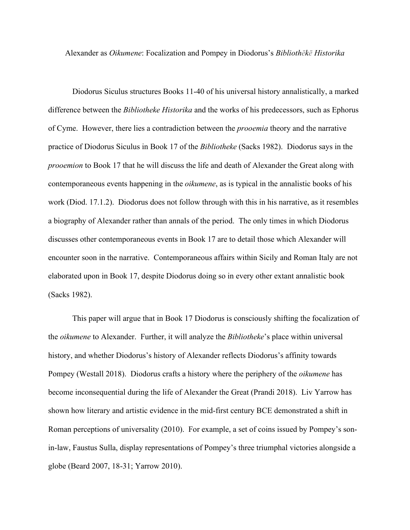Alexander as *Oikumene*: Focalization and Pompey in Diodorus's *Bibliothēkē Historika*

Diodorus Siculus structures Books 11-40 of his universal history annalistically, a marked difference between the *Bibliotheke Historika* and the works of his predecessors, such as Ephorus of Cyme. However, there lies a contradiction between the *prooemia* theory and the narrative practice of Diodorus Siculus in Book 17 of the *Bibliotheke* (Sacks 1982). Diodorus says in the *prooemion* to Book 17 that he will discuss the life and death of Alexander the Great along with contemporaneous events happening in the *oikumene*, as is typical in the annalistic books of his work (Diod. 17.1.2). Diodorus does not follow through with this in his narrative, as it resembles a biography of Alexander rather than annals of the period. The only times in which Diodorus discusses other contemporaneous events in Book 17 are to detail those which Alexander will encounter soon in the narrative. Contemporaneous affairs within Sicily and Roman Italy are not elaborated upon in Book 17, despite Diodorus doing so in every other extant annalistic book (Sacks 1982).

This paper will argue that in Book 17 Diodorus is consciously shifting the focalization of the *oikumene* to Alexander. Further, it will analyze the *Bibliotheke*'s place within universal history, and whether Diodorus's history of Alexander reflects Diodorus's affinity towards Pompey (Westall 2018). Diodorus crafts a history where the periphery of the *oikumene* has become inconsequential during the life of Alexander the Great (Prandi 2018). Liv Yarrow has shown how literary and artistic evidence in the mid-first century BCE demonstrated a shift in Roman perceptions of universality (2010). For example, a set of coins issued by Pompey's sonin-law, Faustus Sulla, display representations of Pompey's three triumphal victories alongside a globe (Beard 2007, 18-31; Yarrow 2010).